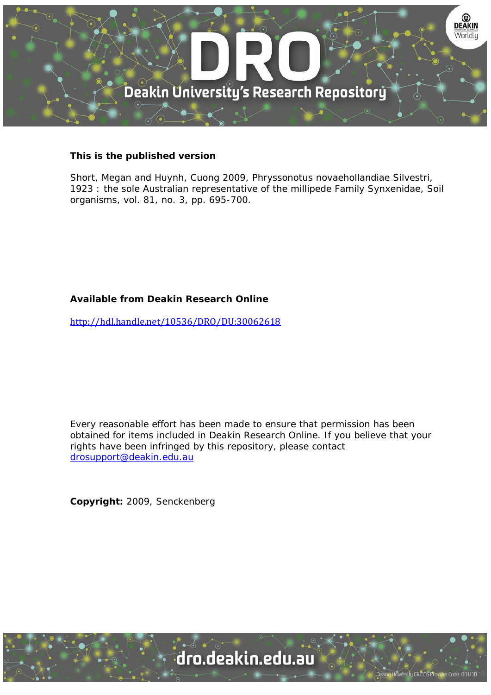

# **This is the published version**

Short, Megan and Huynh, Cuong 2009, Phryssonotus novaehollandiae Silvestri, 1923 : the sole Australian representative of the millipede Family Synxenidae, Soil organisms, vol. 81, no. 3, pp. 695-700.

# **Available from Deakin Research Online**

http://hdl.handle.net/10536/DRO/DU:30062618

Every reasonable effort has been made to ensure that permission has been obtained for items included in Deakin Research Online. If you believe that your rights have been infringed by this repository, please contact drosupport@deakin.edu.au

**Copyright:** 2009, Senckenberg

University CRICOS Provider Code: 00113B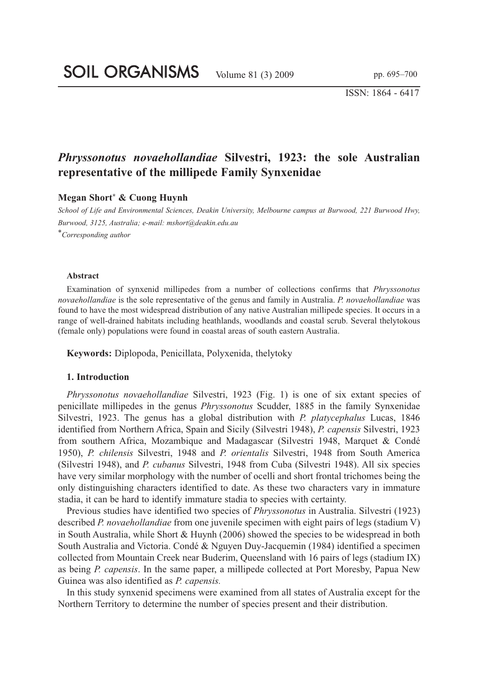ISSN: 1864 - 6417

## *Phryssonotus novaehollandiae* **Silvestri, 1923: the sole Australian representative of the millipede Family Synxenidae**

#### **Megan Short\* & Cuong Huynh**

*School of Life and Environmental Sciences, Deakin University, Melbourne campus at Burwood, 221 Burwood Hwy, Burwood, 3125, Australia; e-mail: mshort@deakin.edu.au \*Corresponding author*

#### **Abstract**

Examination of synxenid millipedes from a number of collections confirms that *Phryssonotus novaehollandiae* is the sole representative of the genus and family in Australia. *P. novaehollandiae* was found to have the most widespread distribution of any native Australian millipede species. It occurs in a range of well-drained habitats including heathlands, woodlands and coastal scrub. Several thelytokous (female only) populations were found in coastal areas of south eastern Australia.

**Keywords:** Diplopoda, Penicillata, Polyxenida, thelytoky

### **1. Introduction**

*Phryssonotus novaehollandiae* Silvestri, 1923 (Fig. 1) is one of six extant species of penicillate millipedes in the genus *Phryssonotus* Scudder, 1885 in the family Synxenidae Silvestri, 1923. The genus has a global distribution with *P. platycephalus* Lucas, 1846 identified from Northern Africa, Spain and Sicily (Silvestri 1948), *P. capensis* Silvestri, 1923 from southern Africa, Mozambique and Madagascar (Silvestri 1948, Marquet & Condé 1950), *P. chilensis* Silvestri, 1948 and *P. orientalis* Silvestri, 1948 from South America (Silvestri 1948), and *P. cubanus* Silvestri, 1948 from Cuba (Silvestri 1948). All six species have very similar morphology with the number of ocelli and short frontal trichomes being the only distinguishing characters identified to date. As these two characters vary in immature stadia, it can be hard to identify immature stadia to species with certainty.

Previous studies have identified two species of *Phryssonotus* in Australia. Silvestri (1923) described *P. novaehollandiae* from one juvenile specimen with eight pairs of legs (stadium V) in South Australia, while Short & Huynh (2006) showed the species to be widespread in both South Australia and Victoria. Condé & Nguyen Duy-Jacquemin (1984) identified a specimen collected from Mountain Creek near Buderim, Queensland with 16 pairs of legs (stadium IX) as being *P. capensis*. In the same paper, a millipede collected at Port Moresby, Papua New Guinea was also identified as *P. capensis.*

In this study synxenid specimens were examined from all states of Australia except for the Northern Territory to determine the number of species present and their distribution.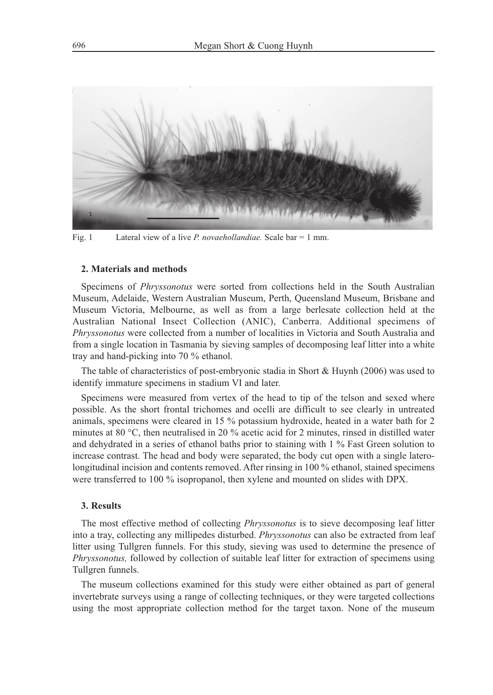

Fig. 1 Lateral view of a live *P. novaehollandiae.* Scale bar = 1 mm.

#### **2. Materials and methods**

Specimens of *Phryssonotus* were sorted from collections held in the South Australian Museum, Adelaide, Western Australian Museum, Perth, Queensland Museum, Brisbane and Museum Victoria, Melbourne, as well as from a large berlesate collection held at the Australian National Insect Collection (ANIC), Canberra. Additional specimens of *Phryssonotus* were collected from a number of localities in Victoria and South Australia and from a single location in Tasmania by sieving samples of decomposing leaf litter into a white tray and hand-picking into 70 % ethanol.

The table of characteristics of post-embryonic stadia in Short & Huynh (2006) was used to identify immature specimens in stadium VI and later.

Specimens were measured from vertex of the head to tip of the telson and sexed where possible. As the short frontal trichomes and ocelli are difficult to see clearly in untreated animals, specimens were cleared in 15 % potassium hydroxide, heated in a water bath for 2 minutes at 80 °C, then neutralised in 20 % acetic acid for 2 minutes, rinsed in distilled water and dehydrated in a series of ethanol baths prior to staining with 1 % Fast Green solution to increase contrast. The head and body were separated, the body cut open with a single laterolongitudinal incision and contents removed. After rinsing in 100 % ethanol, stained specimens were transferred to 100 % isopropanol, then xylene and mounted on slides with DPX.

### **3. Results**

The most effective method of collecting *Phryssonotus* is to sieve decomposing leaf litter into a tray, collecting any millipedes disturbed. *Phryssonotus* can also be extracted from leaf litter using Tullgren funnels. For this study, sieving was used to determine the presence of *Phryssonotus,* followed by collection of suitable leaf litter for extraction of specimens using Tullgren funnels.

The museum collections examined for this study were either obtained as part of general invertebrate surveys using a range of collecting techniques, or they were targeted collections using the most appropriate collection method for the target taxon. None of the museum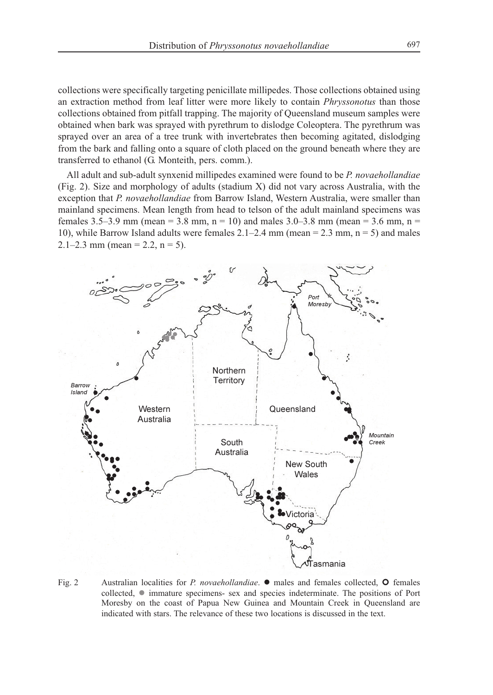collections were specifically targeting penicillate millipedes. Those collections obtained using an extraction method from leaf litter were more likely to contain *Phryssonotus* than those collections obtained from pitfall trapping. The majority of Queensland museum samples were obtained when bark was sprayed with pyrethrum to dislodge Coleoptera. The pyrethrum was sprayed over an area of a tree trunk with invertebrates then becoming agitated, dislodging from the bark and falling onto a square of cloth placed on the ground beneath where they are transferred to ethanol (G. Monteith, pers. comm.).

All adult and sub-adult synxenid millipedes examined were found to be *P. novaehollandiae* (Fig. 2). Size and morphology of adults (stadium X) did not vary across Australia, with the exception that *P. novaehollandiae* from Barrow Island, Western Australia, were smaller than mainland specimens. Mean length from head to telson of the adult mainland specimens was females 3.5–3.9 mm (mean = 3.8 mm, n = 10) and males 3.0–3.8 mm (mean = 3.6 mm, n = 10), while Barrow Island adults were females  $2.1-2.4$  mm (mean =  $2.3$  mm, n =  $5$ ) and males 2.1–2.3 mm (mean = 2.2, n = 5).



Fig. 2 Australian localities for *P. novaehollandiae*. ● males and females collected, ○ females collected,  $\bullet$  immature specimens- sex and species indeterminate. The positions of Port Moresby on the coast of Papua New Guinea and Mountain Creek in Queensland are indicated with stars. The relevance of these two locations is discussed in the text.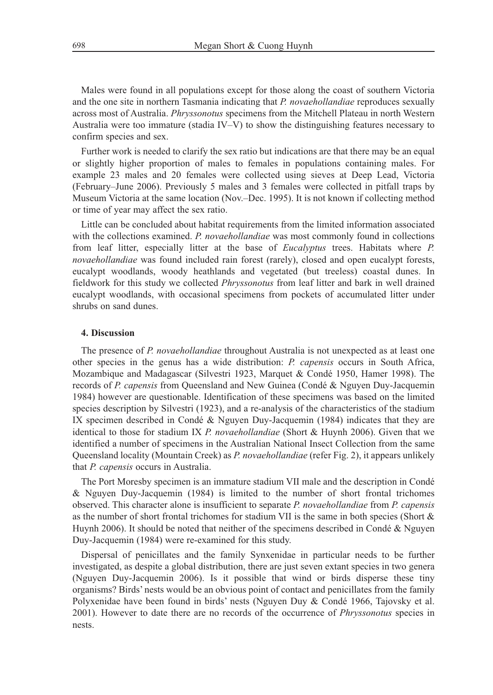Males were found in all populations except for those along the coast of southern Victoria and the one site in northern Tasmania indicating that *P. novaehollandiae* reproduces sexually across most of Australia. *Phryssonotus* specimens from the Mitchell Plateau in north Western Australia were too immature (stadia IV–V) to show the distinguishing features necessary to confirm species and sex.

Further work is needed to clarify the sex ratio but indications are that there may be an equal or slightly higher proportion of males to females in populations containing males. For example 23 males and 20 females were collected using sieves at Deep Lead, Victoria (February–June 2006). Previously 5 males and 3 females were collected in pitfall traps by Museum Victoria at the same location (Nov.–Dec. 1995). It is not known if collecting method or time of year may affect the sex ratio.

Little can be concluded about habitat requirements from the limited information associated with the collections examined. *P. novaehollandiae* was most commonly found in collections from leaf litter, especially litter at the base of *Eucalyptus* trees. Habitats where *P. novaehollandiae* was found included rain forest (rarely), closed and open eucalypt forests, eucalypt woodlands, woody heathlands and vegetated (but treeless) coastal dunes. In fieldwork for this study we collected *Phryssonotus* from leaf litter and bark in well drained eucalypt woodlands, with occasional specimens from pockets of accumulated litter under shrubs on sand dunes.

#### **4. Discussion**

The presence of *P. novaehollandiae* throughout Australia is not unexpected as at least one other species in the genus has a wide distribution: *P. capensis* occurs in South Africa, Mozambique and Madagascar (Silvestri 1923, Marquet & Condé 1950, Hamer 1998). The records of *P. capensis* from Queensland and New Guinea (Condé & Nguyen Duy-Jacquemin 1984) however are questionable. Identification of these specimens was based on the limited species description by Silvestri (1923), and a re-analysis of the characteristics of the stadium IX specimen described in Condé & Nguyen Duy-Jacquemin (1984) indicates that they are identical to those for stadium IX *P. novaehollandiae* (Short & Huynh 2006). Given that we identified a number of specimens in the Australian National Insect Collection from the same Queensland locality (Mountain Creek) as *P. novaehollandiae* (refer Fig. 2), it appears unlikely that *P. capensis* occurs in Australia.

The Port Moresby specimen is an immature stadium VII male and the description in Condé & Nguyen Duy-Jacquemin (1984) is limited to the number of short frontal trichomes observed. This character alone is insufficient to separate *P. novaehollandiae* from *P. capensis* as the number of short frontal trichomes for stadium VII is the same in both species (Short & Huynh 2006). It should be noted that neither of the specimens described in Condé & Nguyen Duy-Jacquemin (1984) were re-examined for this study.

Dispersal of penicillates and the family Synxenidae in particular needs to be further investigated, as despite a global distribution, there are just seven extant species in two genera (Nguyen Duy-Jacquemin 2006). Is it possible that wind or birds disperse these tiny organisms? Birds' nests would be an obvious point of contact and penicillates from the family Polyxenidae have been found in birds' nests (Nguyen Duy & Condé 1966, Tajovsky et al. 2001). However to date there are no records of the occurrence of *Phryssonotus* species in nests.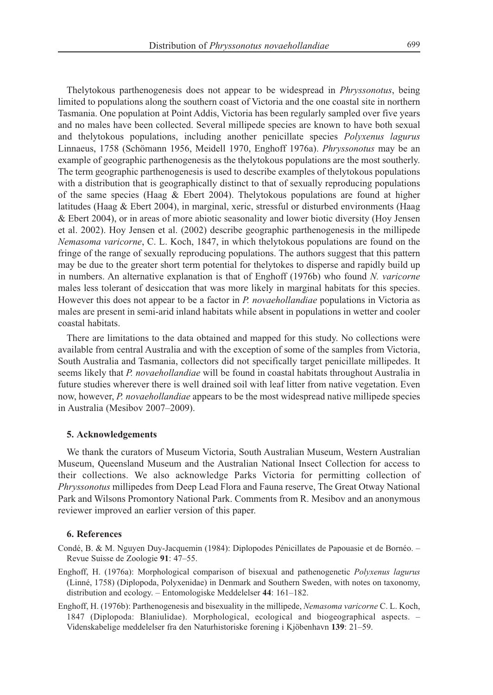Thelytokous parthenogenesis does not appear to be widespread in *Phryssonotus*, being limited to populations along the southern coast of Victoria and the one coastal site in northern Tasmania. One population at Point Addis, Victoria has been regularly sampled over five years and no males have been collected. Several millipede species are known to have both sexual and thelytokous populations, including another penicillate species *Polyxenus lagurus* Linnaeus, 1758 (Schömann 1956, Meidell 1970, Enghoff 1976a). *Phryssonotus* may be an example of geographic parthenogenesis as the thelytokous populations are the most southerly. The term geographic parthenogenesis is used to describe examples of thelytokous populations with a distribution that is geographically distinct to that of sexually reproducing populations of the same species (Haag & Ebert 2004). Thelytokous populations are found at higher latitudes (Haag & Ebert 2004), in marginal, xeric, stressful or disturbed environments (Haag & Ebert 2004), or in areas of more abiotic seasonality and lower biotic diversity (Hoy Jensen et al. 2002). Hoy Jensen et al. (2002) describe geographic parthenogenesis in the millipede *Nemasoma varicorne*, C. L. Koch, 1847, in which thelytokous populations are found on the fringe of the range of sexually reproducing populations. The authors suggest that this pattern may be due to the greater short term potential for thelytokes to disperse and rapidly build up in numbers. An alternative explanation is that of Enghoff (1976b) who found *N. varicorne* males less tolerant of desiccation that was more likely in marginal habitats for this species. However this does not appear to be a factor in *P. novaehollandiae* populations in Victoria as males are present in semi-arid inland habitats while absent in populations in wetter and cooler coastal habitats.

There are limitations to the data obtained and mapped for this study. No collections were available from central Australia and with the exception of some of the samples from Victoria, South Australia and Tasmania, collectors did not specifically target penicillate millipedes. It seems likely that *P. novaehollandiae* will be found in coastal habitats throughout Australia in future studies wherever there is well drained soil with leaf litter from native vegetation. Even now, however, *P. novaehollandiae* appears to be the most widespread native millipede species in Australia (Mesibov 2007–2009).

## **5. Acknowledgements**

We thank the curators of Museum Victoria, South Australian Museum, Western Australian Museum, Queensland Museum and the Australian National Insect Collection for access to their collections. We also acknowledge Parks Victoria for permitting collection of *Phryssonotus* millipedes from Deep Lead Flora and Fauna reserve, The Great Otway National Park and Wilsons Promontory National Park. Comments from R. Mesibov and an anonymous reviewer improved an earlier version of this paper.

#### **6. References**

- Condé, B. & M. Nguyen Duy-Jacquemin (1984): Diplopodes Pénicillates de Papouasie et de Bornéo. Revue Suisse de Zoologie **91**: 47–55.
- Enghoff, H. (1976a): Morphological comparison of bisexual and pathenogenetic *Polyxenus lagurus* (Linné, 1758) (Diplopoda, Polyxenidae) in Denmark and Southern Sweden, with notes on taxonomy, distribution and ecology. – Entomologiske Meddelelser **44**: 161–182.
- Enghoff, H. (1976b): Parthenogenesis and bisexuality in the millipede, *Nemasoma varicorne* C. L. Koch, 1847 (Diplopoda: Blaniulidae). Morphological, ecological and biogeographical aspects. – Videnskabelige meddelelser fra den Naturhistoriske forening i Kjöbenhavn **139**: 21–59.